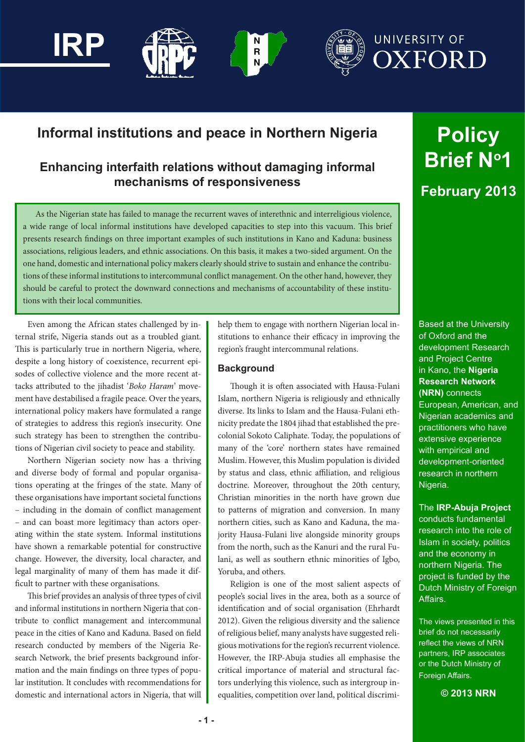

## **Informal institutions and peace in Northern Nigeria**

### **Enhancing interfaith relations without damaging informal mechanisms of responsiveness**

As the Nigerian state has failed to manage the recurrent waves of interethnic and interreligious violence, a wide range of local informal institutions have developed capacities to step into this vacuum. This brief presents research findings on three important examples of such institutions in Kano and Kaduna: business associations, religious leaders, and ethnic associations. On this basis, it makes a two-sided argument. On the one hand, domestic and international policy makers clearly should strive to sustain and enhance the contributions of these informal institutions to intercommunal conflict management. On the other hand, however, they should be careful to protect the downward connections and mechanisms of accountability of these institutions with their local communities.

Even among the African states challenged by internal strife, Nigeria stands out as a troubled giant. This is particularly true in northern Nigeria, where, despite a long history of coexistence, recurrent episodes of collective violence and the more recent attacks attributed to the jihadist '*Boko Haram*' movement have destabilised a fragile peace. Over the years, international policy makers have formulated a range of strategies to address this region's insecurity. One such strategy has been to strengthen the contributions of Nigerian civil society to peace and stability.

Northern Nigerian society now has a thriving and diverse body of formal and popular organisations operating at the fringes of the state. Many of these organisations have important societal functions – including in the domain of conflict management – and can boast more legitimacy than actors operating within the state system. Informal institutions have shown a remarkable potential for constructive change. However, the diversity, local character, and legal marginality of many of them has made it difficult to partner with these organisations.

This brief provides an analysis of three types of civil and informal institutions in northern Nigeria that contribute to conflict management and intercommunal peace in the cities of Kano and Kaduna. Based on field research conducted by members of the Nigeria Research Network, the brief presents background information and the main findings on three types of popular institution. It concludes with recommendations for domestic and international actors in Nigeria, that will help them to engage with northern Nigerian local institutions to enhance their efficacy in improving the region's fraught intercommunal relations.

#### **Background**

Though it is often associated with Hausa-Fulani Islam, northern Nigeria is religiously and ethnically diverse. Its links to Islam and the Hausa-Fulani ethnicity predate the 1804 jihad that established the precolonial Sokoto Caliphate. Today, the populations of many of the 'core' northern states have remained Muslim. However, this Muslim population is divided by status and class, ethnic affiliation, and religious doctrine. Moreover, throughout the 20th century, Christian minorities in the north have grown due to patterns of migration and conversion. In many northern cities, such as Kano and Kaduna, the majority Hausa-Fulani live alongside minority groups from the north, such as the Kanuri and the rural Fulani, as well as southern ethnic minorities of Igbo, Yoruba, and others.

Religion is one of the most salient aspects of people's social lives in the area, both as a source of identification and of social organisation (Ehrhardt 2012). Given the religious diversity and the salience of religious belief, many analysts have suggested religious motivations for the region's recurrent violence. However, the IRP-Abuja studies all emphasise the critical importance of material and structural factors underlying this violence, such as intergroup inequalities, competition over land, political discrimi-

# **Policy Brief No1 February 2013**

Based at the University of Oxford and the development Research and Project Centre in Kano, the **Nigeria Research Network (NRN)** connects European, American, and Nigerian academics and practitioners who have extensive experience with empirical and development-oriented research in northern Nigeria.

The **IRP-Abuja Project** 

conducts fundamental research into the role of Islam in society, politics and the economy in northern Nigeria. The project is funded by the Dutch Ministry of Foreign Affairs.

The views presented in this brief do not necessarily reflect the views of NRN partners, IRP associates or the Dutch Ministry of Foreign Affairs.

**© 2013 NRN**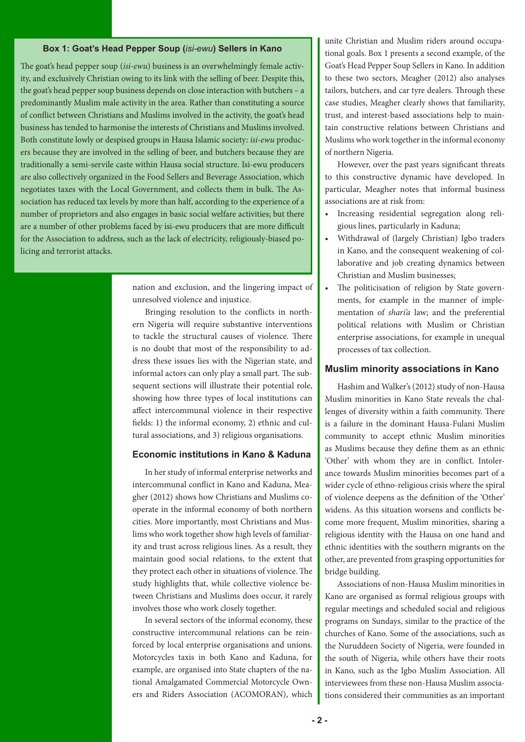#### **Box 1: Goat's Head Pepper Soup (***isi-ewu***) Sellers in Kano**

The goat's head pepper soup (*isi-ewu*) business is an overwhelmingly female activity, and exclusively Christian owing to its link with the selling of beer. Despite this, the goat's head pepper soup business depends on close interaction with butchers – a predominantly Muslim male activity in the area. Rather than constituting a source of conflict between Christians and Muslims involved in the activity, the goat's head business has tended to harmonise the interests of Christians and Muslims involved. Both constitute lowly or despised groups in Hausa Islamic society: *isi-ewu* producers because they are involved in the selling of beer, and butchers because they are traditionally a semi-servile caste within Hausa social structure. Isi-ewu producers are also collectively organized in the Food Sellers and Beverage Association, which negotiates taxes with the Local Government, and collects them in bulk. The Association has reduced tax levels by more than half, according to the experience of a number of proprietors and also engages in basic social welfare activities; but there are a number of other problems faced by isi-ewu producers that are more difficult for the Association to address, such as the lack of electricity, religiously-biased policing and terrorist attacks.

> nation and exclusion, and the lingering impact of unresolved violence and injustice.

> Bringing resolution to the conflicts in northern Nigeria will require substantive interventions to tackle the structural causes of violence. There is no doubt that most of the responsibility to address these issues lies with the Nigerian state, and informal actors can only play a small part. The subsequent sections will illustrate their potential role, showing how three types of local institutions can affect intercommunal violence in their respective fields: 1) the informal economy, 2) ethnic and cultural associations, and 3) religious organisations.

#### **Economic institutions in Kano & Kaduna**

In her study of informal enterprise networks and intercommunal conflict in Kano and Kaduna, Meagher (2012) shows how Christians and Muslims cooperate in the informal economy of both northern cities. More importantly, most Christians and Muslims who work together show high levels of familiarity and trust across religious lines. As a result, they maintain good social relations, to the extent that they protect each other in situations of violence. The study highlights that, while collective violence between Christians and Muslims does occur, it rarely involves those who work closely together.

In several sectors of the informal economy, these constructive intercommunal relations can be reinforced by local enterprise organisations and unions. Motorcycles taxis in both Kano and Kaduna, for example, are organised into State chapters of the national Amalgamated Commercial Motorcycle Owners and Riders Association (ACOMORAN), which

unite Christian and Muslim riders around occupational goals. Box 1 presents a second example, of the Goat's Head Pepper Soup Sellers in Kano. In addition to these two sectors, Meagher (2012) also analyses tailors, butchers, and car tyre dealers. Through these case studies, Meagher clearly shows that familiarity, trust, and interest-based associations help to maintain constructive relations between Christians and Muslims who work together in the informal economy of northern Nigeria.

However, over the past years significant threats to this constructive dynamic have developed. In particular, Meagher notes that informal business associations are at risk from:

- Increasing residential segregation along religious lines, particularly in Kaduna;
- • Withdrawal of (largely Christian) Igbo traders in Kano, and the consequent weakening of collaborative and job creating dynamics between Christian and Muslim businesses;
- • The politicisation of religion by State governments, for example in the manner of implementation of *shari'a* law; and the preferential political relations with Muslim or Christian enterprise associations, for example in unequal processes of tax collection.

#### **Muslim minority associations in Kano**

Hashim and Walker's (2012) study of non-Hausa Muslim minorities in Kano State reveals the challenges of diversity within a faith community. There is a failure in the dominant Hausa-Fulani Muslim community to accept ethnic Muslim minorities as Muslims because they define them as an ethnic 'Other' with whom they are in conflict. Intolerance towards Muslim minorities becomes part of a wider cycle of ethno-religious crisis where the spiral of violence deepens as the definition of the 'Other' widens. As this situation worsens and conflicts become more frequent, Muslim minorities, sharing a religious identity with the Hausa on one hand and ethnic identities with the southern migrants on the other, are prevented from grasping opportunities for bridge building.

Associations of non-Hausa Muslim minorities in Kano are organised as formal religious groups with regular meetings and scheduled social and religious programs on Sundays, similar to the practice of the churches of Kano. Some of the associations, such as the Nuruddeen Society of Nigeria, were founded in the south of Nigeria, while others have their roots in Kano, such as the Igbo Muslim Association. All interviewees from these non-Hausa Muslim associations considered their communities as an important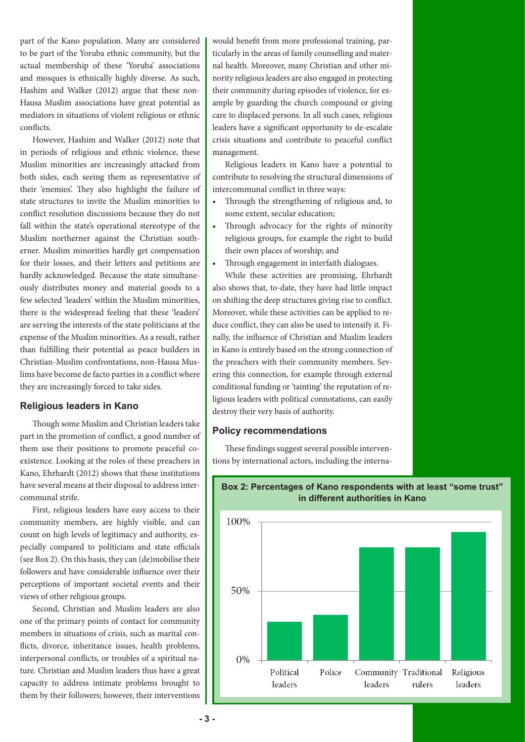part of the Kano population. Many are considered to be part of the Yoruba ethnic community, but the actual membership of these 'Yoruba' associations and mosques is ethnically highly diverse. As such, Hashim and Walker (2012) argue that these non-Hausa Muslim associations have great potential as mediators in situations of violent religious or ethnic conflicts.

However, Hashim and Walker (2012) note that in periods of religious and ethnic violence, these Muslim minorities are increasingly attacked from both sides, each seeing them as representative of their 'enemies'. They also highlight the failure of state structures to invite the Muslim minorities to conflict resolution discussions because they do not fall within the state's operational stereotype of the Muslim northerner against the Christian southerner. Muslim minorities hardly get compensation for their losses, and their letters and petitions are hardly acknowledged. Because the state simultaneously distributes money and material goods to a few selected 'leaders' within the Muslim minorities, there is the widespread feeling that these 'leaders' are serving the interests of the state politicians at the expense of the Muslim minorities. As a result, rather than fulfilling their potential as peace builders in Christian-Muslim confrontations, non-Hausa Muslims have become de facto parties in a conflict where they are increasingly forced to take sides.

#### **Religious leaders in Kano**

Though some Muslim and Christian leaders take part in the promotion of conflict, a good number of them use their positions to promote peaceful coexistence. Looking at the roles of these preachers in Kano, Ehrhardt (2012) shows that these institutions have several means at their disposal to address intercommunal strife.

First, religious leaders have easy access to their community members, are highly visible, and can count on high levels of legitimacy and authority, especially compared to politicians and state officials (see Box 2). On this basis, they can (de)mobilise their followers and have considerable influence over their perceptions of important societal events and their views of other religious groups.

Second, Christian and Muslim leaders are also one of the primary points of contact for community members in situations of crisis, such as marital conflicts, divorce, inheritance issues, health problems, interpersonal conflicts, or troubles of a spiritual nature. Christian and Muslim leaders thus have a great capacity to address intimate problems brought to them by their followers; however, their interventions would benefit from more professional training, particularly in the areas of family counselling and maternal health. Moreover, many Christian and other minority religious leaders are also engaged in protecting their community during episodes of violence, for example by guarding the church compound or giving care to displaced persons. In all such cases, religious leaders have a significant opportunity to de-escalate crisis situations and contribute to peaceful conflict management.

Religious leaders in Kano have a potential to contribute to resolving the structural dimensions of intercommunal conflict in three ways:

- • Through the strengthening of religious and, to some extent, secular education;
- Through advocacy for the rights of minority religious groups, for example the right to build their own places of worship; and
- • Through engagement in interfaith dialogues.

While these activities are promising, Ehrhardt also shows that, to-date, they have had little impact on shifting the deep structures giving rise to conflict. Moreover, while these activities can be applied to reduce conflict, they can also be used to intensify it. Finally, the influence of Christian and Muslim leaders in Kano is entirely based on the strong connection of the preachers with their community members. Severing this connection, for example through external conditional funding or 'tainting' the reputation of religious leaders with political connotations, can easily destroy their very basis of authority.

#### **Policy recommendations**

These findings suggest several possible interventions by international actors, including the interna-



#### **Box 2: Percentages of Kano respondents with at least "some trust" in different authorities in Kano**